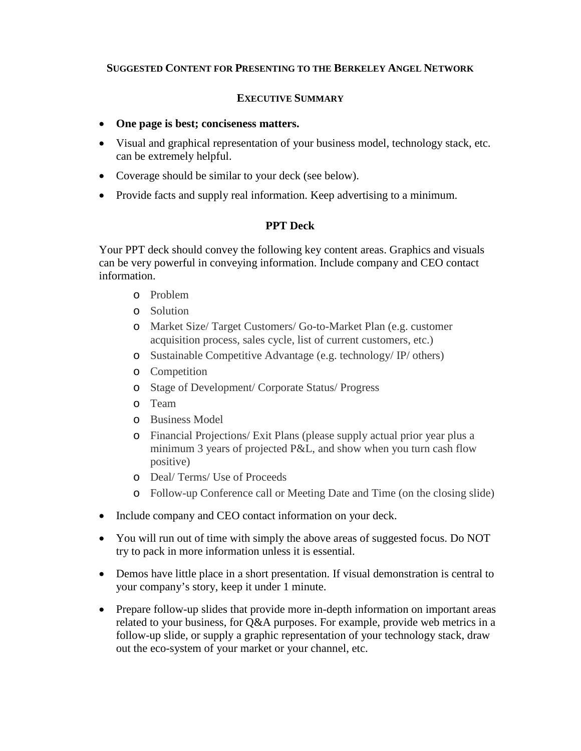## **SUGGESTED CONTENT FOR PRESENTING TO THE BERKELEY ANGEL NETWORK**

## **EXECUTIVE SUMMARY**

- **One page is best; conciseness matters.**
- Visual and graphical representation of your business model, technology stack, etc. can be extremely helpful.
- Coverage should be similar to your deck (see below).
- Provide facts and supply real information. Keep advertising to a minimum.

## **PPT Deck**

Your PPT deck should convey the following key content areas. Graphics and visuals can be very powerful in conveying information. Include company and CEO contact information.

- o Problem
- o Solution
- o Market Size/ Target Customers/ Go-to-Market Plan (e.g. customer acquisition process, sales cycle, list of current customers, etc.)
- o Sustainable Competitive Advantage (e.g. technology/ IP/ others)
- o Competition
- o Stage of Development/ Corporate Status/ Progress
- o Team
- o Business Model
- o Financial Projections/ Exit Plans (please supply actual prior year plus a minimum 3 years of projected P&L, and show when you turn cash flow positive)
- o Deal/ Terms/ Use of Proceeds
- o Follow-up Conference call or Meeting Date and Time (on the closing slide)
- Include company and CEO contact information on your deck.
- You will run out of time with simply the above areas of suggested focus. Do NOT try to pack in more information unless it is essential.
- Demos have little place in a short presentation. If visual demonstration is central to your company's story, keep it under 1 minute.
- Prepare follow-up slides that provide more in-depth information on important areas related to your business, for Q&A purposes. For example, provide web metrics in a follow-up slide, or supply a graphic representation of your technology stack, draw out the eco-system of your market or your channel, etc.